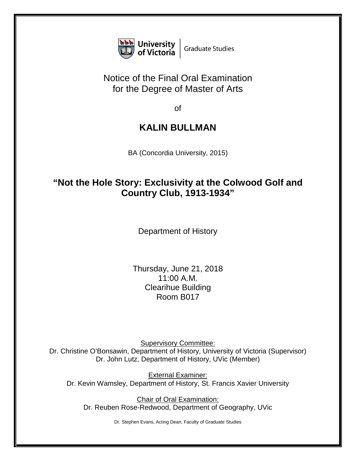

## Notice of the Final Oral Examination for the Degree of Master of Arts

of

## **KALIN BULLMAN**

BA (Concordia University, 2015)

## **"Not the Hole Story: Exclusivity at the Colwood Golf and Country Club, 1913-1934"**

Department of History

Thursday, June 21, 2018 11:00 A.M. Clearihue Building Room B017

Supervisory Committee: Dr. Christine O'Bonsawin, Department of History, University of Victoria (Supervisor) Dr. John Lutz, Department of History, UVic (Member)

External Examiner: Dr. Kevin Wamsley, Department of History, St. Francis Xavier University

Chair of Oral Examination: Dr. Reuben Rose-Redwood, Department of Geography, UVic

Dr. Stephen Evans, Acting Dean, Faculty of Graduate Studies